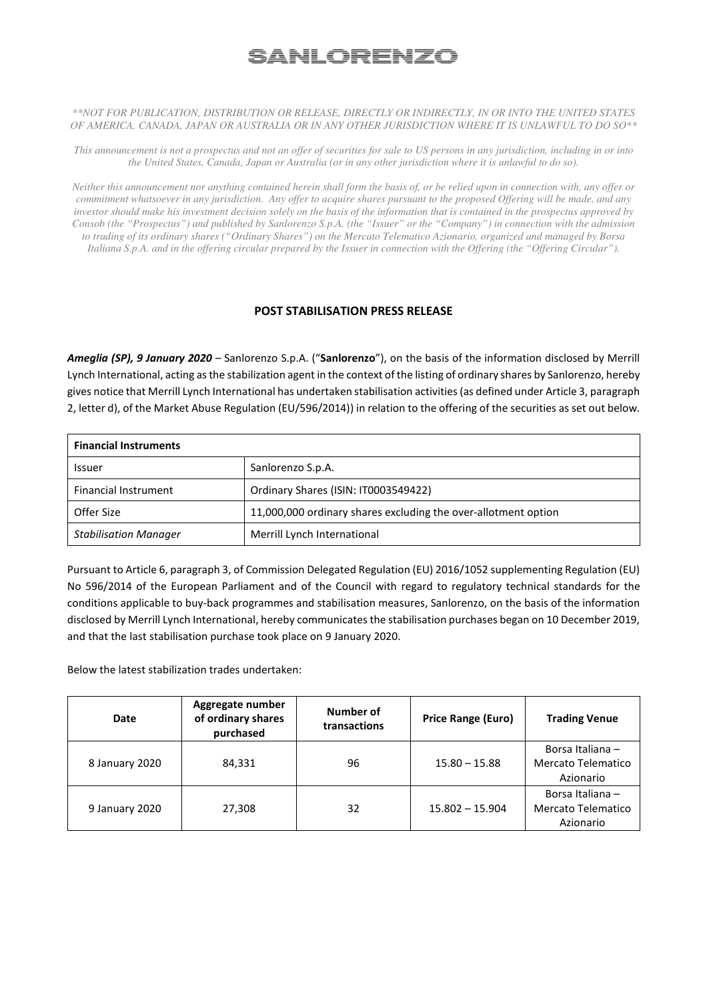## <u>SANLORENZO</u>

## *\*\*NOT FOR PUBLICATION, DISTRIBUTION OR RELEASE, DIRECTLY OR INDIRECTLY, IN OR INTO THE UNITED STATES OF AMERICA, CANADA, JAPAN OR AUSTRALIA OR IN ANY OTHER JURISDICTION WHERE IT IS UNLAWFUL TO DO SO\*\**

*This announcement is not a prospectus and not an offer of securities for sale to US persons in any jurisdiction, including in or into the United States, Canada, Japan or Australia (or in any other jurisdiction where it is unlawful to do so).* 

*Neither this announcement nor anything contained herein shall form the basis of, or be relied upon in connection with, any offer or commitment whatsoever in any jurisdiction. Any offer to acquire shares pursuant to the proposed Offering will be made, and any investor should make his investment decision solely on the basis of the information that is contained in the prospectus approved by Consob (the "Prospectus") and published by Sanlorenzo S.p.A. (the "Issuer" or the "Company") in connection with the admission to trading of its ordinary shares ("Ordinary Shares") on the Mercato Telematico Azionario, organized and managed by Borsa Italiana S.p.A. and in the offering circular prepared by the Issuer in connection with the Offering (the "Offering Circular").*

## **POST STABILISATION PRESS RELEASE**

*Ameglia (SP), 9 January 2020 –* Sanlorenzo S.p.A. ("**Sanlorenzo**"), on the basis of the information disclosed by Merrill Lynch International, acting as the stabilization agent in the context of the listing of ordinary shares by Sanlorenzo, hereby gives notice that Merrill Lynch International has undertaken stabilisation activities (as defined under Article 3, paragraph 2, letter d), of the Market Abuse Regulation (EU/596/2014)) in relation to the offering of the securities as set out below.

| <b>Financial Instruments</b> |                                                                |  |  |  |
|------------------------------|----------------------------------------------------------------|--|--|--|
| <b>Issuer</b>                | Sanlorenzo S.p.A.                                              |  |  |  |
| <b>Financial Instrument</b>  | Ordinary Shares (ISIN: IT0003549422)                           |  |  |  |
| Offer Size                   | 11,000,000 ordinary shares excluding the over-allotment option |  |  |  |
| <b>Stabilisation Manager</b> | Merrill Lynch International                                    |  |  |  |

Pursuant to Article 6, paragraph 3, of Commission Delegated Regulation (EU) 2016/1052 supplementing Regulation (EU) No 596/2014 of the European Parliament and of the Council with regard to regulatory technical standards for the conditions applicable to buy-back programmes and stabilisation measures, Sanlorenzo, on the basis of the information disclosed by Merrill Lynch International, hereby communicates the stabilisation purchases began on 10 December 2019, and that the last stabilisation purchase took place on 9 January 2020.

Below the latest stabilization trades undertaken:

| Date           | Aggregate number<br>of ordinary shares<br>purchased | Number of<br>transactions | Price Range (Euro) | <b>Trading Venue</b>                                |
|----------------|-----------------------------------------------------|---------------------------|--------------------|-----------------------------------------------------|
| 8 January 2020 | 84,331                                              | 96                        | $15.80 - 15.88$    | Borsa Italiana -<br>Mercato Telematico<br>Azionario |
| 9 January 2020 | 27,308                                              | 32                        | $15.802 - 15.904$  | Borsa Italiana -<br>Mercato Telematico<br>Azionario |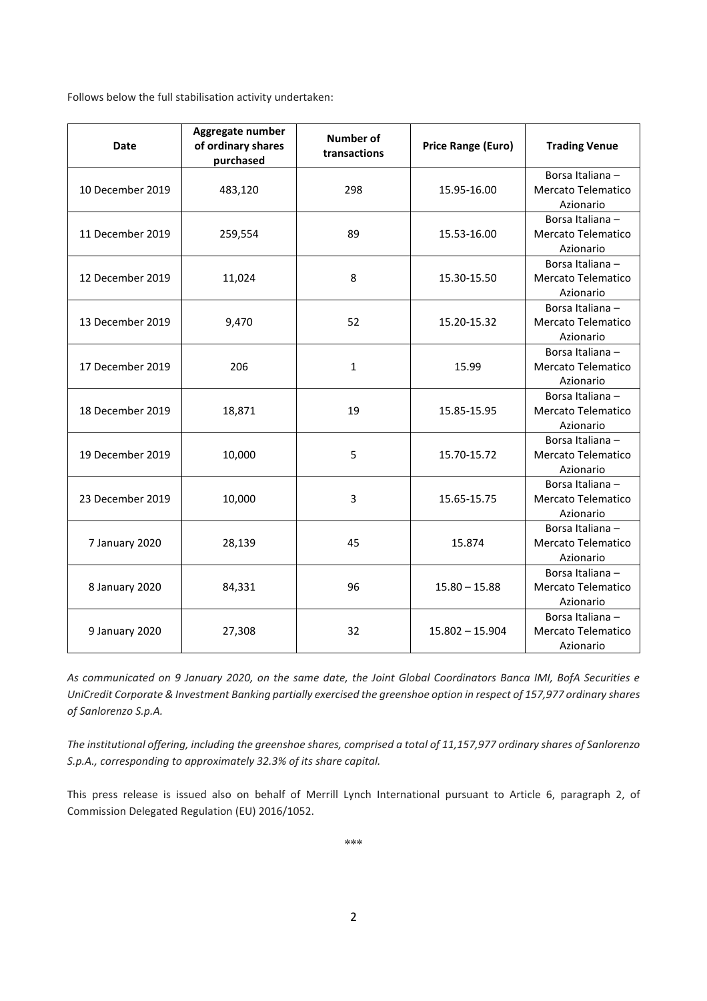Follows below the full stabilisation activity undertaken:

| <b>Date</b>      | Aggregate number<br>of ordinary shares<br>purchased | <b>Number of</b><br>transactions | <b>Price Range (Euro)</b> | <b>Trading Venue</b>                                      |
|------------------|-----------------------------------------------------|----------------------------------|---------------------------|-----------------------------------------------------------|
| 10 December 2019 | 483,120                                             | 298                              | 15.95-16.00               | Borsa Italiana-<br>Mercato Telematico<br>Azionario        |
| 11 December 2019 | 259,554                                             | 89                               | 15.53-16.00               | Borsa Italiana-<br>Mercato Telematico<br>Azionario        |
| 12 December 2019 | 11,024                                              | 8                                | 15.30-15.50               | Borsa Italiana-<br>Mercato Telematico<br>Azionario        |
| 13 December 2019 | 9,470                                               | 52                               | 15.20-15.32               | Borsa Italiana-<br><b>Mercato Telematico</b><br>Azionario |
| 17 December 2019 | 206                                                 | $\mathbf{1}$                     | 15.99                     | Borsa Italiana-<br>Mercato Telematico<br>Azionario        |
| 18 December 2019 | 18,871                                              | 19                               | 15.85-15.95               | Borsa Italiana-<br>Mercato Telematico<br>Azionario        |
| 19 December 2019 | 10,000                                              | 5                                | 15.70-15.72               | Borsa Italiana-<br><b>Mercato Telematico</b><br>Azionario |
| 23 December 2019 | 10,000                                              | 3                                | 15.65-15.75               | Borsa Italiana-<br>Mercato Telematico<br>Azionario        |
| 7 January 2020   | 28,139                                              | 45                               | 15.874                    | Borsa Italiana-<br><b>Mercato Telematico</b><br>Azionario |
| 8 January 2020   | 84,331                                              | 96                               | $15.80 - 15.88$           | Borsa Italiana-<br><b>Mercato Telematico</b><br>Azionario |
| 9 January 2020   | 27,308                                              | 32                               | $15.802 - 15.904$         | Borsa Italiana-<br>Mercato Telematico<br>Azionario        |

*As communicated on 9 January 2020, on the same date, the Joint Global Coordinators Banca IMI, BofA Securities e UniCredit Corporate & Investment Banking partially exercised the greenshoe option in respect of 157,977 ordinary shares of Sanlorenzo S.p.A.* 

*The institutional offering, including the greenshoe shares, comprised a total of 11,157,977 ordinary shares of Sanlorenzo S.p.A., corresponding to approximately 32.3% of its share capital.* 

This press release is issued also on behalf of Merrill Lynch International pursuant to Article 6, paragraph 2, of Commission Delegated Regulation (EU) 2016/1052.

**\*\*\***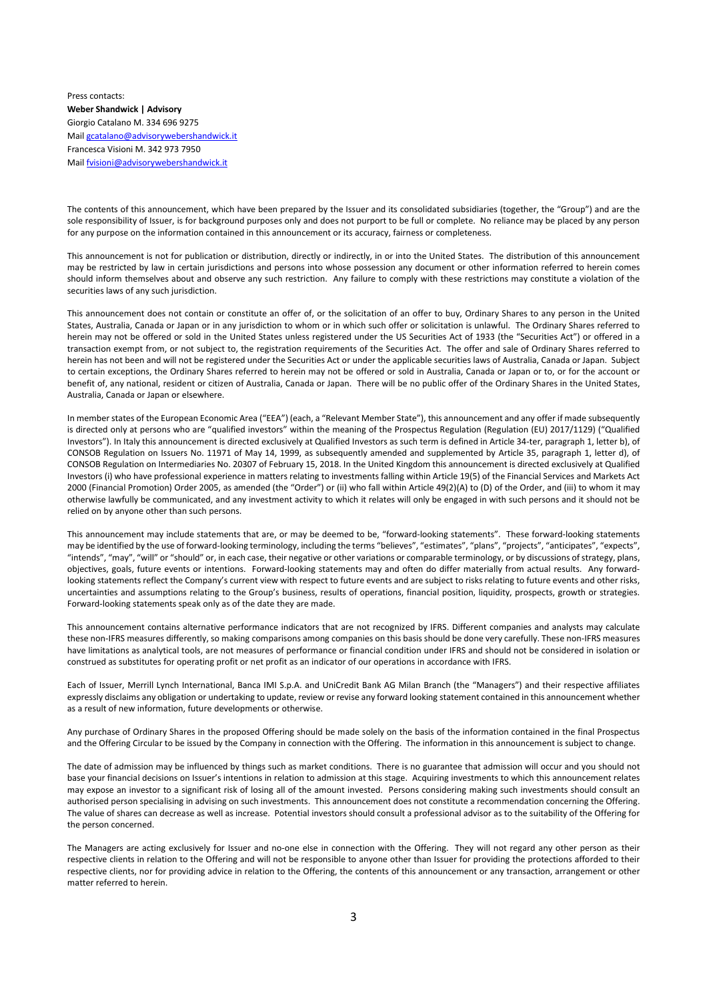Press contacts: **Weber Shandwick | Advisory** Giorgio Catalano M. 334 696 9275 Mail gcatalano@advisorywebershandwick.it Francesca Visioni M. 342 973 7950 Mail fvisioni@advisorywebershandwick.it

The contents of this announcement, which have been prepared by the Issuer and its consolidated subsidiaries (together, the "Group") and are the sole responsibility of Issuer, is for background purposes only and does not purport to be full or complete. No reliance may be placed by any person for any purpose on the information contained in this announcement or its accuracy, fairness or completeness.

This announcement is not for publication or distribution, directly or indirectly, in or into the United States. The distribution of this announcement may be restricted by law in certain jurisdictions and persons into whose possession any document or other information referred to herein comes should inform themselves about and observe any such restriction. Any failure to comply with these restrictions may constitute a violation of the securities laws of any such jurisdiction.

This announcement does not contain or constitute an offer of, or the solicitation of an offer to buy, Ordinary Shares to any person in the United States, Australia, Canada or Japan or in any jurisdiction to whom or in which such offer or solicitation is unlawful. The Ordinary Shares referred to herein may not be offered or sold in the United States unless registered under the US Securities Act of 1933 (the "Securities Act") or offered in a transaction exempt from, or not subject to, the registration requirements of the Securities Act. The offer and sale of Ordinary Shares referred to herein has not been and will not be registered under the Securities Act or under the applicable securities laws of Australia, Canada or Japan. Subject to certain exceptions, the Ordinary Shares referred to herein may not be offered or sold in Australia, Canada or Japan or to, or for the account or benefit of, any national, resident or citizen of Australia, Canada or Japan. There will be no public offer of the Ordinary Shares in the United States, Australia, Canada or Japan or elsewhere.

In member states of the European Economic Area ("EEA") (each, a "Relevant Member State"), this announcement and any offer if made subsequently is directed only at persons who are "qualified investors" within the meaning of the Prospectus Regulation (Regulation (EU) 2017/1129) ("Qualified Investors"). In Italy this announcement is directed exclusively at Qualified Investors as such term is defined in Article 34-ter, paragraph 1, letter b), of CONSOB Regulation on Issuers No. 11971 of May 14, 1999, as subsequently amended and supplemented by Article 35, paragraph 1, letter d), of CONSOB Regulation on Intermediaries No. 20307 of February 15, 2018. In the United Kingdom this announcement is directed exclusively at Qualified Investors (i) who have professional experience in matters relating to investments falling within Article 19(5) of the Financial Services and Markets Act 2000 (Financial Promotion) Order 2005, as amended (the "Order") or (ii) who fall within Article 49(2)(A) to (D) of the Order, and (iii) to whom it may otherwise lawfully be communicated, and any investment activity to which it relates will only be engaged in with such persons and it should not be relied on by anyone other than such persons.

This announcement may include statements that are, or may be deemed to be, "forward-looking statements". These forward-looking statements may be identified by the use of forward-looking terminology, including the terms "believes", "estimates", "plans", "projects", "anticipates", "expects", "expects", "intends", "may", "will" or "should" or, in each case, their negative or other variations or comparable terminology, or by discussions of strategy, plans, objectives, goals, future events or intentions. Forward-looking statements may and often do differ materially from actual results. Any forwardlooking statements reflect the Company's current view with respect to future events and are subject to risks relating to future events and other risks, uncertainties and assumptions relating to the Group's business, results of operations, financial position, liquidity, prospects, growth or strategies. Forward-looking statements speak only as of the date they are made.

This announcement contains alternative performance indicators that are not recognized by IFRS. Different companies and analysts may calculate these non-IFRS measures differently, so making comparisons among companies on this basis should be done very carefully. These non-IFRS measures have limitations as analytical tools, are not measures of performance or financial condition under IFRS and should not be considered in isolation or construed as substitutes for operating profit or net profit as an indicator of our operations in accordance with IFRS.

Each of Issuer, Merrill Lynch International, Banca IMI S.p.A. and UniCredit Bank AG Milan Branch (the "Managers") and their respective affiliates expressly disclaims any obligation or undertaking to update, review or revise any forward looking statement contained in this announcement whether as a result of new information, future developments or otherwise.

Any purchase of Ordinary Shares in the proposed Offering should be made solely on the basis of the information contained in the final Prospectus and the Offering Circular to be issued by the Company in connection with the Offering. The information in this announcement is subject to change.

The date of admission may be influenced by things such as market conditions. There is no guarantee that admission will occur and you should not base your financial decisions on Issuer's intentions in relation to admission at this stage. Acquiring investments to which this announcement relates may expose an investor to a significant risk of losing all of the amount invested. Persons considering making such investments should consult an authorised person specialising in advising on such investments. This announcement does not constitute a recommendation concerning the Offering. The value of shares can decrease as well as increase. Potential investors should consult a professional advisor as to the suitability of the Offering for the person concerned.

The Managers are acting exclusively for Issuer and no-one else in connection with the Offering. They will not regard any other person as their respective clients in relation to the Offering and will not be responsible to anyone other than Issuer for providing the protections afforded to their respective clients, nor for providing advice in relation to the Offering, the contents of this announcement or any transaction, arrangement or other matter referred to herein.